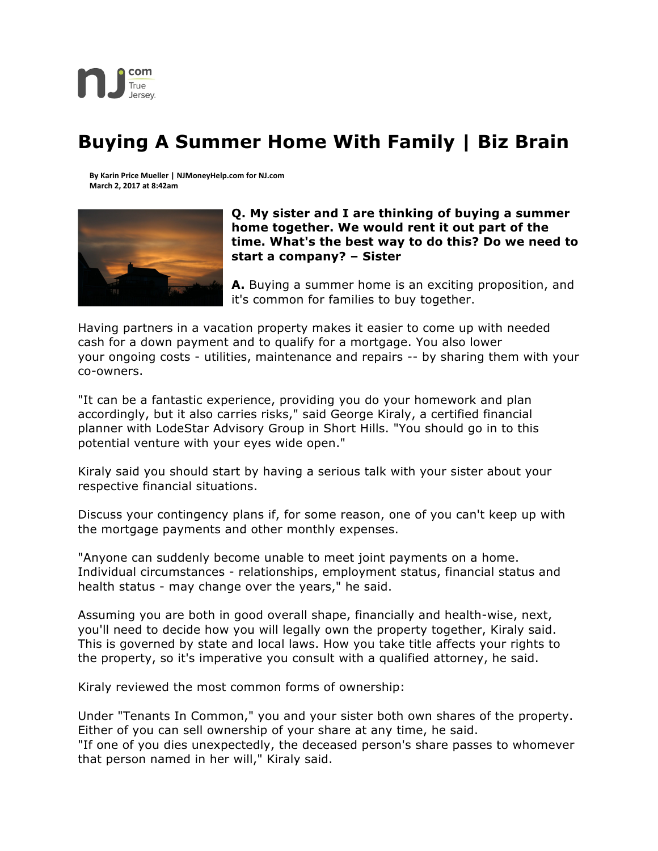

## **Buying A Summer Home With Family | Biz Brain**

**By Karin Price Mueller | NJMoneyHelp.com for NJ.com March 2, 2017 at 8:42am**



## **Q. My sister and I are thinking of buying a summer home together. We would rent it out part of the time. What's the best way to do this? Do we need to start a company? – Sister**

**A.** Buying a summer home is an exciting proposition, and it's common for families to buy together.

Having partners in a vacation property makes it easier to come up with needed cash for a down payment and to qualify for a mortgage. You also lower your ongoing costs - utilities, maintenance and repairs -- by sharing them with your co-owners.

"It can be a fantastic experience, providing you do your homework and plan accordingly, but it also carries risks," said George Kiraly, a certified financial planner with LodeStar Advisory Group in Short Hills. "You should go in to this potential venture with your eyes wide open."

Kiraly said you should start by having a serious talk with your sister about your respective financial situations.

Discuss your contingency plans if, for some reason, one of you can't keep up with the mortgage payments and other monthly expenses.

"Anyone can suddenly become unable to meet joint payments on a home. Individual circumstances - relationships, employment status, financial status and health status - may change over the years," he said.

Assuming you are both in good overall shape, financially and health-wise, next, you'll need to decide how you will legally own the property together, Kiraly said. This is governed by state and local laws. How you take title affects your rights to the property, so it's imperative you consult with a qualified attorney, he said.

Kiraly reviewed the most common forms of ownership:

Under "Tenants In Common," you and your sister both own shares of the property. Either of you can sell ownership of your share at any time, he said.

"If one of you dies unexpectedly, the deceased person's share passes to whomever that person named in her will," Kiraly said.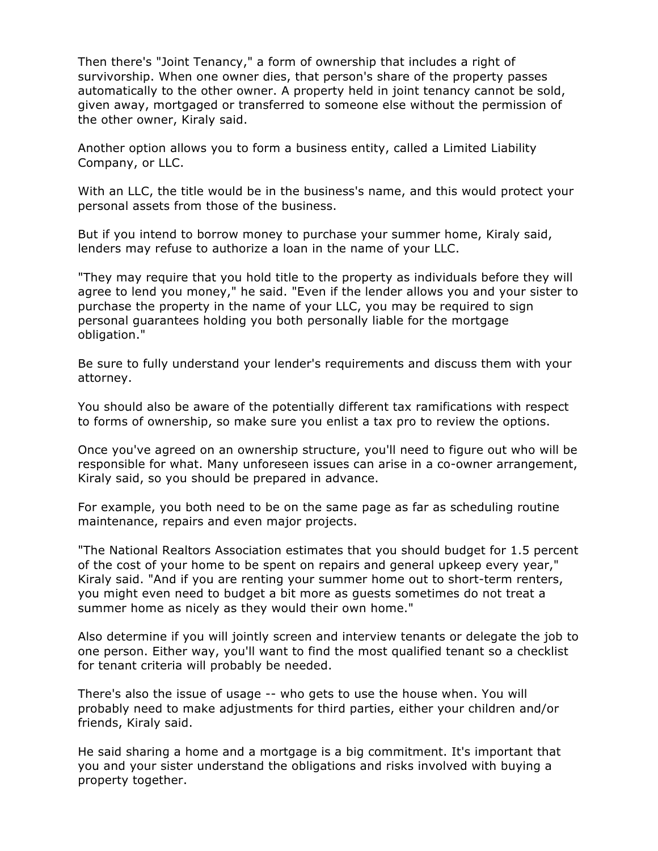Then there's "Joint Tenancy," a form of ownership that includes a right of survivorship. When one owner dies, that person's share of the property passes automatically to the other owner. A property held in joint tenancy cannot be sold, given away, mortgaged or transferred to someone else without the permission of the other owner, Kiraly said.

Another option allows you to form a business entity, called a Limited Liability Company, or LLC.

With an LLC, the title would be in the business's name, and this would protect your personal assets from those of the business.

But if you intend to borrow money to purchase your summer home, Kiraly said, lenders may refuse to authorize a loan in the name of your LLC.

"They may require that you hold title to the property as individuals before they will agree to lend you money," he said. "Even if the lender allows you and your sister to purchase the property in the name of your LLC, you may be required to sign personal guarantees holding you both personally liable for the mortgage obligation."

Be sure to fully understand your lender's requirements and discuss them with your attorney.

You should also be aware of the potentially different tax ramifications with respect to forms of ownership, so make sure you enlist a tax pro to review the options.

Once you've agreed on an ownership structure, you'll need to figure out who will be responsible for what. Many unforeseen issues can arise in a co-owner arrangement, Kiraly said, so you should be prepared in advance.

For example, you both need to be on the same page as far as scheduling routine maintenance, repairs and even major projects.

"The National Realtors Association estimates that you should budget for 1.5 percent of the cost of your home to be spent on repairs and general upkeep every year," Kiraly said. "And if you are renting your summer home out to short-term renters, you might even need to budget a bit more as guests sometimes do not treat a summer home as nicely as they would their own home."

Also determine if you will jointly screen and interview tenants or delegate the job to one person. Either way, you'll want to find the most qualified tenant so a checklist for tenant criteria will probably be needed.

There's also the issue of usage -- who gets to use the house when. You will probably need to make adjustments for third parties, either your children and/or friends, Kiraly said.

He said sharing a home and a mortgage is a big commitment. It's important that you and your sister understand the obligations and risks involved with buying a property together.